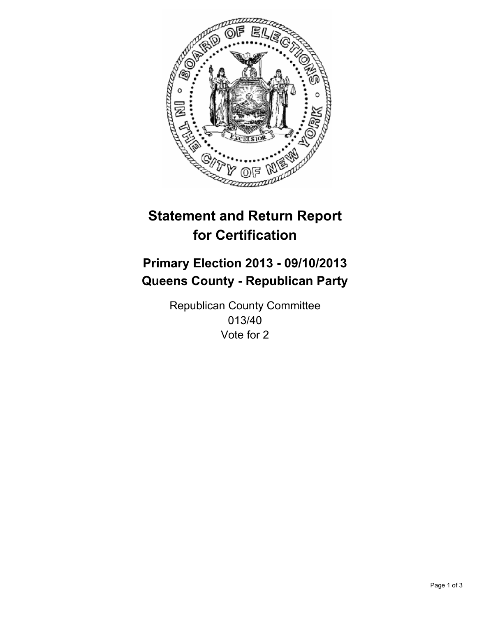

# **Statement and Return Report for Certification**

# **Primary Election 2013 - 09/10/2013 Queens County - Republican Party**

Republican County Committee 013/40 Vote for 2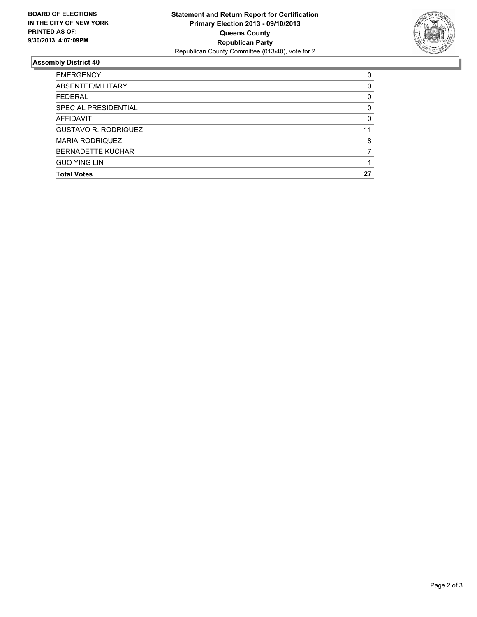

## **Assembly District 40**

| 0        |
|----------|
| 0        |
| 0        |
| 0        |
| $\Omega$ |
| 11       |
| 8        |
|          |
|          |
| 27       |
|          |